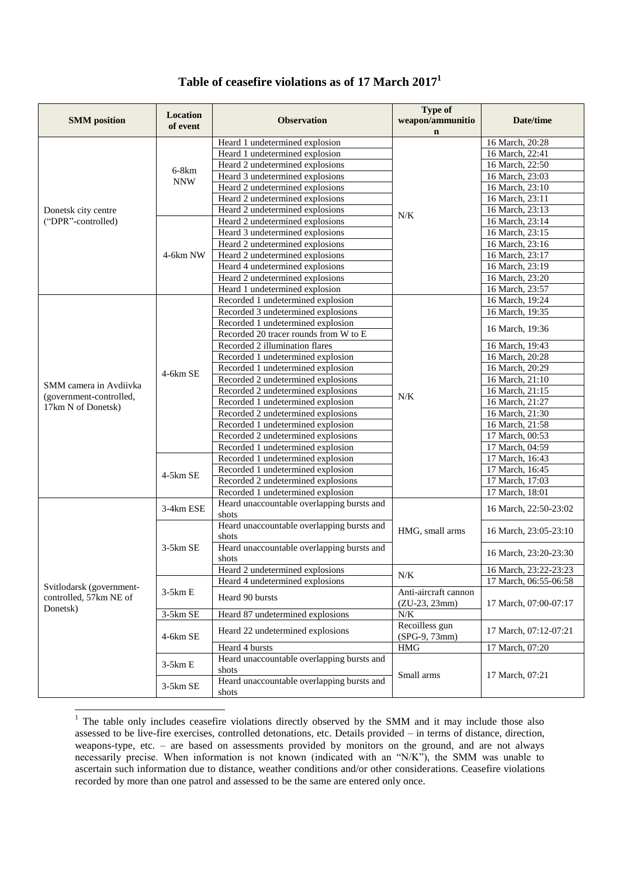| <b>SMM</b> position                                            | Location<br>of event  | <b>Observation</b>                                  | <b>Type of</b><br>weapon/ammunitio<br>$\mathbf{n}$ | Date/time             |
|----------------------------------------------------------------|-----------------------|-----------------------------------------------------|----------------------------------------------------|-----------------------|
|                                                                |                       | Heard 1 undetermined explosion                      |                                                    | 16 March, 20:28       |
|                                                                |                       | Heard 1 undetermined explosion                      |                                                    | 16 March, 22:41       |
|                                                                | $6-8km$<br><b>NNW</b> | Heard 2 undetermined explosions                     |                                                    | 16 March, 22:50       |
|                                                                |                       | Heard 3 undetermined explosions                     | N/K                                                | 16 March, 23:03       |
|                                                                |                       | Heard 2 undetermined explosions                     |                                                    | 16 March, 23:10       |
|                                                                |                       | Heard 2 undetermined explosions                     |                                                    | 16 March, 23:11       |
| Donetsk city centre                                            |                       | Heard 2 undetermined explosions                     |                                                    | 16 March, 23:13       |
| ("DPR"-controlled)                                             |                       | Heard 2 undetermined explosions                     |                                                    | 16 March, 23:14       |
|                                                                |                       | Heard 3 undetermined explosions                     |                                                    | 16 March, 23:15       |
|                                                                |                       | Heard 2 undetermined explosions                     |                                                    | 16 March, 23:16       |
|                                                                | 4-6km NW              | Heard 2 undetermined explosions                     |                                                    | 16 March, 23:17       |
|                                                                |                       | Heard 4 undetermined explosions                     |                                                    | 16 March, 23:19       |
|                                                                |                       | Heard 2 undetermined explosions                     |                                                    | 16 March, 23:20       |
|                                                                |                       | Heard 1 undetermined explosion                      |                                                    | 16 March, 23:57       |
|                                                                |                       | Recorded 1 undetermined explosion                   |                                                    | 16 March, 19:24       |
|                                                                |                       | Recorded 3 undetermined explosions                  |                                                    | 16 March, 19:35       |
|                                                                |                       | Recorded 1 undetermined explosion                   |                                                    | 16 March, 19:36       |
|                                                                |                       | Recorded 20 tracer rounds from W to E               |                                                    |                       |
|                                                                |                       | Recorded 2 illumination flares                      |                                                    | 16 March, 19:43       |
|                                                                |                       | Recorded 1 undetermined explosion                   |                                                    | 16 March, 20:28       |
|                                                                | $4-6km$ SE            | Recorded 1 undetermined explosion                   |                                                    | 16 March, 20:29       |
| SMM camera in Avdiivka                                         |                       | Recorded 2 undetermined explosions                  | N/K                                                | 16 March, 21:10       |
| (government-controlled,                                        |                       | Recorded 2 undetermined explosions                  |                                                    | 16 March, 21:15       |
| 17km N of Donetsk)                                             |                       | Recorded 1 undetermined explosion                   |                                                    | 16 March, 21:27       |
|                                                                |                       | Recorded 2 undetermined explosions                  |                                                    | 16 March, 21:30       |
|                                                                |                       | Recorded 1 undetermined explosion                   |                                                    | 16 March, 21:58       |
|                                                                |                       | Recorded 2 undetermined explosions                  |                                                    | 17 March, 00:53       |
|                                                                |                       | Recorded 1 undetermined explosion                   |                                                    | 17 March, 04:59       |
|                                                                |                       | Recorded 1 undetermined explosion                   |                                                    | 17 March, 16:43       |
|                                                                | 4-5km SE              | Recorded 1 undetermined explosion                   |                                                    | 17 March, 16:45       |
|                                                                |                       | Recorded 2 undetermined explosions                  |                                                    | 17 March, 17:03       |
|                                                                |                       | Recorded 1 undetermined explosion                   |                                                    | 17 March, 18:01       |
|                                                                | 3-4km ESE             | Heard unaccountable overlapping bursts and<br>shots |                                                    | 16 March, 22:50-23:02 |
|                                                                | $3-5km$ SE            | Heard unaccountable overlapping bursts and<br>shots | HMG, small arms                                    | 16 March, 23:05-23:10 |
|                                                                |                       | Heard unaccountable overlapping bursts and<br>shots |                                                    | 16 March, 23:20-23:30 |
|                                                                |                       | Heard 2 undetermined explosions                     | $N\!/\!K$                                          | 16 March, 23:22-23:23 |
| Svitlodarsk (government-<br>controlled, 57km NE of<br>Donetsk) | $3-5km E$             | Heard 4 undetermined explosions                     |                                                    | 17 March, 06:55-06:58 |
|                                                                |                       | Heard 90 bursts                                     | Anti-aircraft cannon<br>$(ZU-23, 23mm)$            | 17 March, 07:00-07:17 |
|                                                                | 3-5km SE              | Heard 87 undetermined explosions                    | $N\!/\!K$                                          |                       |
|                                                                | 4-6km SE              | Heard 22 undetermined explosions                    | Recoilless gun<br>(SPG-9, 73mm)                    | 17 March, 07:12-07:21 |
|                                                                |                       | Heard 4 bursts                                      | <b>HMG</b>                                         | 17 March, 07:20       |
|                                                                | $3-5km E$             | Heard unaccountable overlapping bursts and<br>shots | Small arms                                         | 17 March, 07:21       |
|                                                                | $3-5km$ SE            | Heard unaccountable overlapping bursts and<br>shots |                                                    |                       |

## **Table of ceasefire violations as of 17 March 2017 1**

 $\overline{a}$ 

 $1$  The table only includes ceasefire violations directly observed by the SMM and it may include those also assessed to be live-fire exercises, controlled detonations, etc. Details provided – in terms of distance, direction, weapons-type, etc. – are based on assessments provided by monitors on the ground, and are not always necessarily precise. When information is not known (indicated with an "N/K"), the SMM was unable to ascertain such information due to distance, weather conditions and/or other considerations. Ceasefire violations recorded by more than one patrol and assessed to be the same are entered only once.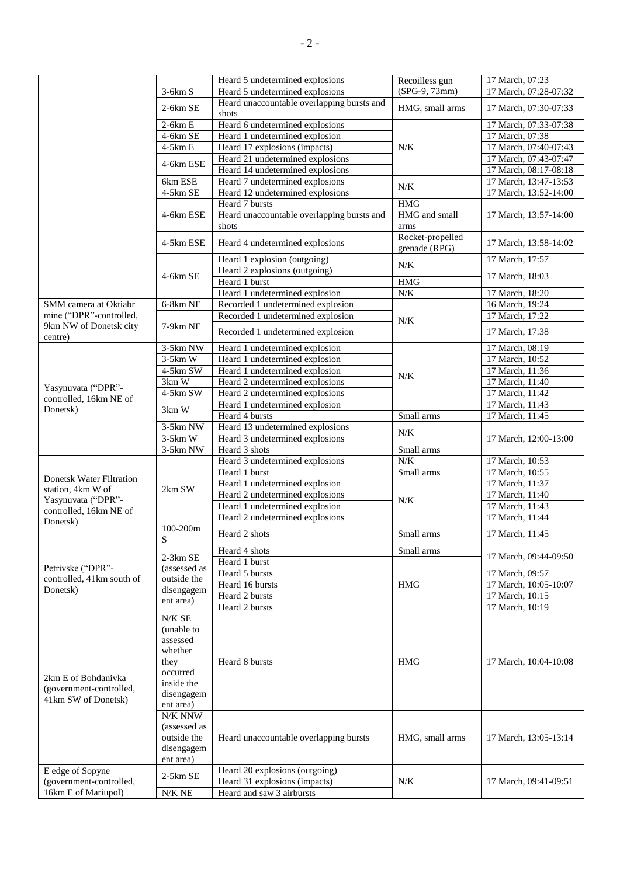|                                                                       |                         | Heard 5 undetermined explosions                                   | Recoilless gun                    | 17 March, 07:23                    |
|-----------------------------------------------------------------------|-------------------------|-------------------------------------------------------------------|-----------------------------------|------------------------------------|
|                                                                       | $3-6km S$               | Heard 5 undetermined explosions                                   | (SPG-9, 73mm)                     | 17 March, 07:28-07:32              |
|                                                                       | $2-6km$ SE              | Heard unaccountable overlapping bursts and<br>shots               | HMG, small arms                   | 17 March, 07:30-07:33              |
|                                                                       | $2-6km E$               | Heard 6 undetermined explosions                                   |                                   | 17 March, 07:33-07:38              |
|                                                                       | 4-6km SE                | Heard 1 undetermined explosion                                    |                                   | 17 March, 07:38                    |
|                                                                       | $4-5km E$               | Heard 17 explosions (impacts)                                     | N/K                               | 17 March, 07:40-07:43              |
|                                                                       | 4-6km ESE               | Heard 21 undetermined explosions                                  |                                   | 17 March, 07:43-07:47              |
|                                                                       |                         | Heard 14 undetermined explosions                                  |                                   | 17 March, 08:17-08:18              |
|                                                                       | 6km ESE                 | Heard 7 undetermined explosions                                   | N/K                               | 17 March, 13:47-13:53              |
|                                                                       | $4-5km$ SE              | Heard 12 undetermined explosions                                  |                                   | 17 March, 13:52-14:00              |
|                                                                       |                         | Heard 7 bursts                                                    | <b>HMG</b>                        |                                    |
|                                                                       | 4-6km ESE               | Heard unaccountable overlapping bursts and                        | HMG and small                     | 17 March, 13:57-14:00              |
|                                                                       |                         | shots                                                             | arms                              |                                    |
|                                                                       | 4-5km ESE               | Heard 4 undetermined explosions                                   | Rocket-propelled<br>grenade (RPG) | 17 March, 13:58-14:02              |
|                                                                       |                         | Heard 1 explosion (outgoing)                                      | N/K                               | 17 March, 17:57                    |
|                                                                       | 4-6km SE                | Heard 2 explosions (outgoing)                                     |                                   | 17 March, 18:03                    |
|                                                                       |                         | Heard 1 burst                                                     | $\rm{HMG}$                        |                                    |
|                                                                       |                         | Heard 1 undetermined explosion                                    | $N\!/\!K$                         | 17 March, 18:20                    |
| SMM camera at Oktiabr<br>mine ("DPR"-controlled,                      | 6-8km NE                | Recorded 1 undetermined explosion                                 |                                   | 16 March, 19:24                    |
| 9km NW of Donetsk city                                                | 7-9km NE                | Recorded 1 undetermined explosion                                 | N/K                               | 17 March, 17:22                    |
| centre)                                                               |                         | Recorded 1 undetermined explosion                                 |                                   | 17 March, 17:38                    |
|                                                                       | 3-5km NW                | Heard 1 undetermined explosion                                    |                                   | 17 March, 08:19                    |
|                                                                       | $3-5km$ W               | Heard 1 undetermined explosion                                    |                                   | 17 March, 10:52                    |
|                                                                       | 4-5km SW                | Heard 1 undetermined explosion                                    | N/K                               | 17 March, 11:36                    |
| Yasynuvata ("DPR"-                                                    | 3km W                   | Heard 2 undetermined explosions                                   |                                   | 17 March, 11:40                    |
| controlled, 16km NE of                                                | 4-5km SW                | Heard 2 undetermined explosions                                   |                                   | 17 March, 11:42                    |
| Donetsk)                                                              | 3km W                   | Heard 1 undetermined explosion                                    |                                   | 17 March, 11:43                    |
|                                                                       |                         | Heard 4 bursts                                                    | Small arms                        | 17 March, 11:45                    |
|                                                                       | 3-5km NW                | Heard 13 undetermined explosions                                  | N/K                               |                                    |
|                                                                       | $3-5km$ W               | Heard 3 undetermined explosions                                   |                                   | 17 March, 12:00-13:00              |
|                                                                       | 3-5km NW                | Heard 3 shots                                                     | Small arms                        |                                    |
|                                                                       |                         | Heard 3 undetermined explosions                                   | $N\!/\!K$                         | 17 March, 10:53                    |
| Donetsk Water Filtration                                              |                         | Heard 1 burst                                                     | Small arms                        | 17 March, 10:55                    |
| station, 4km W of                                                     | 2km SW                  | Heard 1 undetermined explosion<br>Heard 2 undetermined explosions |                                   | 17 March, 11:37<br>17 March, 11:40 |
| Yasynuvata ("DPR"-                                                    |                         | Heard 1 undetermined explosion                                    | N/K                               | 17 March, 11:43                    |
| controlled, 16km NE of                                                |                         | Heard 2 undetermined explosions                                   |                                   | 17 March, 11:44                    |
| Donetsk)                                                              | 100-200m                |                                                                   |                                   |                                    |
|                                                                       | S                       | Heard 2 shots                                                     | Small arms                        | 17 March, 11:45                    |
|                                                                       | $2-3km$ SE              | Heard 4 shots                                                     | Small arms                        | 17 March, 09:44-09:50              |
| Petrivske ("DPR"-                                                     | (assessed as            | Heard 1 burst                                                     | <b>HMG</b>                        |                                    |
| controlled, 41km south of                                             | outside the             | Heard 5 bursts                                                    |                                   | 17 March, 09:57                    |
| Donetsk)                                                              | disengagem<br>ent area) | Heard 16 bursts                                                   |                                   | 17 March, 10:05-10:07              |
|                                                                       |                         | Heard 2 bursts                                                    |                                   | 17 March, 10:15                    |
|                                                                       | $N/K$ $\rm SE$          | Heard 2 bursts                                                    |                                   | 17 March, 10:19                    |
|                                                                       | (unable to              |                                                                   |                                   |                                    |
|                                                                       | assessed                |                                                                   | <b>HMG</b>                        |                                    |
|                                                                       | whether                 |                                                                   |                                   |                                    |
| 2km E of Bohdanivka<br>(government-controlled,<br>41km SW of Donetsk) | they                    | Heard 8 bursts                                                    |                                   | 17 March, 10:04-10:08              |
|                                                                       | occurred                |                                                                   |                                   |                                    |
|                                                                       | inside the              |                                                                   |                                   |                                    |
|                                                                       | disengagem              |                                                                   |                                   |                                    |
|                                                                       | ent area)               |                                                                   |                                   |                                    |
|                                                                       | $\rm N/K$ $\rm NNW$     | Heard unaccountable overlapping bursts                            | HMG, small arms                   |                                    |
|                                                                       | (assessed as            |                                                                   |                                   |                                    |
|                                                                       | outside the             |                                                                   |                                   | 17 March, 13:05-13:14              |
|                                                                       | disengagem              |                                                                   |                                   |                                    |
|                                                                       | ent area)               |                                                                   |                                   |                                    |
| E edge of Sopyne<br>(government-controlled,                           | $2-5km SE$              | Heard 20 explosions (outgoing)<br>Heard 31 explosions (impacts)   | N/K                               | 17 March, 09:41-09:51              |
| 16km E of Mariupol)                                                   | $N/K$ NE                | Heard and saw 3 airbursts                                         |                                   |                                    |
|                                                                       |                         |                                                                   |                                   |                                    |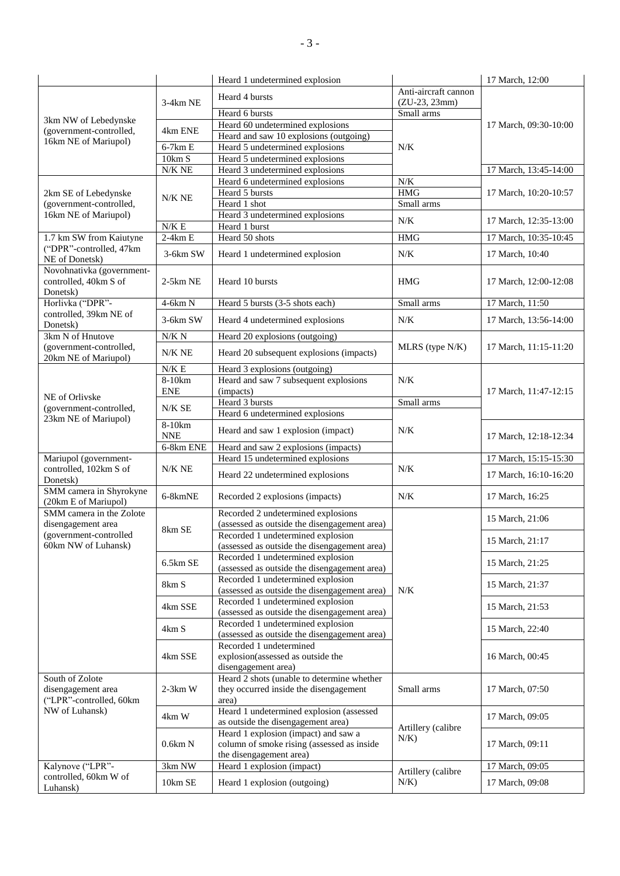|                                                                                    |                                | Heard 1 undetermined explosion                                                                                |                                         | 17 March, 12:00       |
|------------------------------------------------------------------------------------|--------------------------------|---------------------------------------------------------------------------------------------------------------|-----------------------------------------|-----------------------|
|                                                                                    | $3-4km$ NE                     | Heard 4 bursts                                                                                                | Anti-aircraft cannon<br>$(ZU-23, 23mm)$ |                       |
|                                                                                    |                                | Heard 6 bursts                                                                                                | Small arms                              |                       |
| 3km NW of Lebedynske                                                               | 4km ENE                        | Heard 60 undetermined explosions                                                                              |                                         | 17 March, 09:30-10:00 |
| (government-controlled,<br>16km NE of Mariupol)                                    |                                | Heard and saw 10 explosions (outgoing)                                                                        |                                         |                       |
|                                                                                    | $6-7km E$                      | Heard 5 undetermined explosions                                                                               | N/K                                     |                       |
|                                                                                    | 10km S                         | Heard 5 undetermined explosions                                                                               |                                         |                       |
|                                                                                    | $N/K$ NE                       | Heard 3 undetermined explosions                                                                               |                                         | 17 March, 13:45-14:00 |
|                                                                                    |                                | Heard 6 undetermined explosions                                                                               | $N/K$                                   |                       |
| 2km SE of Lebedynske                                                               | N/K NE                         | Heard 5 bursts                                                                                                | <b>HMG</b>                              | 17 March, 10:20-10:57 |
| (government-controlled,                                                            |                                | Heard 1 shot                                                                                                  | Small arms                              |                       |
| 16km NE of Mariupol)                                                               |                                | Heard 3 undetermined explosions                                                                               | $N/K$                                   | 17 March, 12:35-13:00 |
| 1.7 km SW from Kaiutyne                                                            | $N/K \to$<br>$2-4km E$         | Heard 1 burst<br>Heard 50 shots                                                                               | <b>HMG</b>                              |                       |
| ("DPR"-controlled, 47km                                                            |                                |                                                                                                               |                                         | 17 March, 10:35-10:45 |
| NE of Donetsk)                                                                     | 3-6km SW                       | Heard 1 undetermined explosion                                                                                | N/K                                     | 17 March, 10:40       |
| Novohnativka (government-<br>controlled, 40km S of<br>Donetsk)                     | $2-5km$ NE                     | Heard 10 bursts                                                                                               | <b>HMG</b>                              | 17 March, 12:00-12:08 |
| Horlivka ("DPR"-                                                                   | $4-6km N$                      | Heard 5 bursts (3-5 shots each)                                                                               | Small arms                              | 17 March, 11:50       |
| controlled, 39km NE of                                                             | $3-6km$ SW                     | Heard 4 undetermined explosions                                                                               | $N/K$                                   | 17 March, 13:56-14:00 |
| Donetsk)                                                                           |                                |                                                                                                               |                                         |                       |
| 3km N of Hnutove                                                                   | N/K N                          | Heard 20 explosions (outgoing)                                                                                |                                         | 17 March, 11:15-11:20 |
| (government-controlled,<br>20km NE of Mariupol)                                    | $N/K$ NE                       | Heard 20 subsequent explosions (impacts)                                                                      | MLRS (type N/K)                         |                       |
|                                                                                    | $N/K \to$                      | Heard 3 explosions (outgoing)                                                                                 |                                         |                       |
|                                                                                    | 8-10km                         | Heard and saw 7 subsequent explosions                                                                         | N/K                                     | 17 March, 11:47-12:15 |
| NE of Orlivske                                                                     | <b>ENE</b>                     | (impacts)                                                                                                     |                                         |                       |
| (government-controlled,                                                            | N/KSE                          | Heard 3 bursts                                                                                                | Small arms                              |                       |
| 23km NE of Mariupol)                                                               | 8-10km                         | Heard 6 undetermined explosions                                                                               |                                         |                       |
|                                                                                    | <b>NNE</b>                     | Heard and saw 1 explosion (impact)                                                                            | N/K                                     | 17 March, 12:18-12:34 |
|                                                                                    | 6-8km ENE                      | Heard and saw 2 explosions (impacts)                                                                          |                                         |                       |
| Mariupol (government-                                                              | $N/K$ $NE$                     | Heard 15 undetermined explosions                                                                              | N/K                                     | 17 March, 15:15-15:30 |
| controlled, 102km S of<br>Donetsk)                                                 |                                | Heard 22 undetermined explosions                                                                              |                                         | 17 March, 16:10-16:20 |
| SMM camera in Shyrokyne<br>(20km E of Mariupol)                                    | 6-8kmNE                        | Recorded 2 explosions (impacts)                                                                               | N/K                                     | 17 March, 16:25       |
| SMM camera in the Zolote<br>disengagement area                                     |                                | Recorded 2 undetermined explosions<br>(assessed as outside the disengagement area)                            |                                         | 15 March, 21:06       |
| (government-controlled<br>60km NW of Luhansk)                                      | 8km SE                         | Recorded 1 undetermined explosion<br>(assessed as outside the disengagement area)                             |                                         | 15 March, 21:17       |
|                                                                                    | $6.5 \mathrm{km}\ \mathrm{SE}$ | Recorded 1 undetermined explosion<br>(assessed as outside the disengagement area)                             |                                         | 15 March, 21:25       |
|                                                                                    | 8km S                          | Recorded 1 undetermined explosion                                                                             |                                         | 15 March, 21:37       |
|                                                                                    |                                | (assessed as outside the disengagement area)                                                                  | N/K                                     |                       |
|                                                                                    | 4km SSE                        | Recorded 1 undetermined explosion<br>(assessed as outside the disengagement area)                             |                                         | 15 March, 21:53       |
|                                                                                    | 4km S                          | Recorded 1 undetermined explosion<br>(assessed as outside the disengagement area)                             |                                         | 15 March, 22:40       |
|                                                                                    | 4km SSE                        | Recorded 1 undetermined<br>explosion(assessed as outside the<br>disengagement area)                           |                                         | 16 March, 00:45       |
| South of Zolote<br>disengagement area<br>("LPR"-controlled, 60km<br>NW of Luhansk) | $2-3km$ W                      | Heard 2 shots (unable to determine whether<br>they occurred inside the disengagement<br>area)                 | Small arms                              | 17 March, 07:50       |
|                                                                                    | 4km W                          | Heard 1 undetermined explosion (assessed<br>as outside the disengagement area)                                |                                         | 17 March, 09:05       |
|                                                                                    | 0.6km N                        | Heard 1 explosion (impact) and saw a<br>column of smoke rising (assessed as inside<br>the disengagement area) | Artillery (calibre<br>$N/K$ )           | 17 March, 09:11       |
| Kalynove ("LPR"-                                                                   | 3km NW                         | Heard 1 explosion (impact)                                                                                    | Artillery (calibre                      | 17 March, 09:05       |
| controlled, 60km W of<br>Luhansk)                                                  | 10km SE                        | Heard 1 explosion (outgoing)                                                                                  | $N/K$ )                                 | 17 March, 09:08       |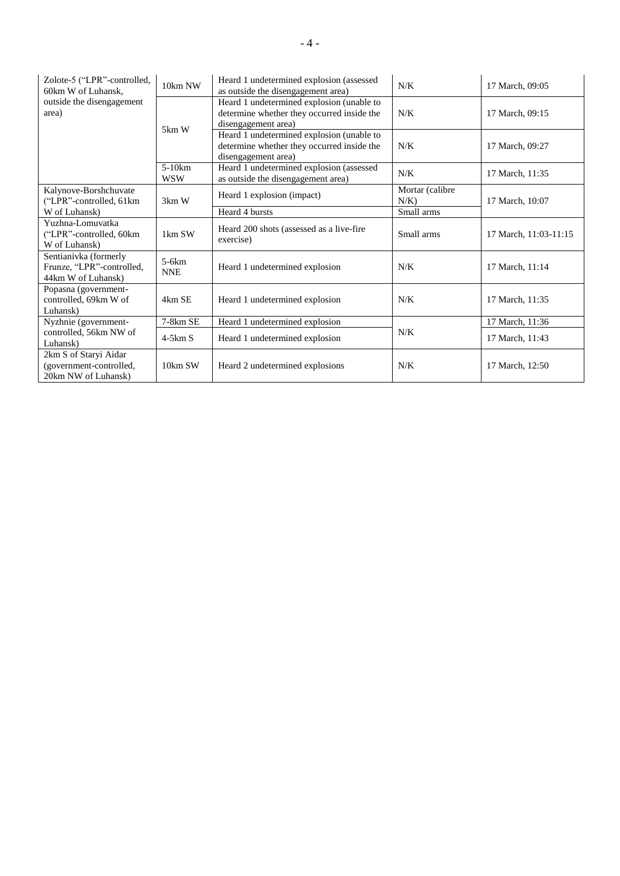| Zolote-5 ("LPR"-controlled,<br>60km W of Luhansk.                        | 10km NW                | Heard 1 undetermined explosion (assessed<br>as outside the disengagement area)                                 | N/K                        | 17 March, 09:05       |
|--------------------------------------------------------------------------|------------------------|----------------------------------------------------------------------------------------------------------------|----------------------------|-----------------------|
| outside the disengagement<br>area)                                       |                        | Heard 1 undetermined explosion (unable to<br>determine whether they occurred inside the<br>disengagement area) | N/K                        | 17 March, 09:15       |
|                                                                          | 5km W                  | Heard 1 undetermined explosion (unable to<br>determine whether they occurred inside the<br>disengagement area) | N/K                        | 17 March, 09:27       |
|                                                                          | $5-10km$<br><b>WSW</b> | Heard 1 undetermined explosion (assessed<br>as outside the disengagement area)                                 | N/K                        | 17 March, 11:35       |
| Kalynove-Borshchuvate<br>("LPR"-controlled, 61km                         | $3km$ W                | Heard 1 explosion (impact)                                                                                     | Mortar (calibre<br>$N/K$ ) | 17 March, 10:07       |
| W of Luhansk)                                                            |                        | Heard 4 bursts                                                                                                 | Small arms                 |                       |
| Yuzhna-Lomuvatka<br>("LPR"-controlled, 60km<br>W of Luhansk)             | 1km SW                 | Heard 200 shots (assessed as a live-fire<br>exercise)                                                          | Small arms                 | 17 March, 11:03-11:15 |
| Sentianivka (formerly<br>Frunze, "LPR"-controlled,<br>44km W of Luhansk) | $5-6km$<br><b>NNE</b>  | Heard 1 undetermined explosion                                                                                 | N/K                        | 17 March, 11:14       |
| Popasna (government-<br>controlled, 69km W of<br>Luhansk)                | 4km SE                 | Heard 1 undetermined explosion                                                                                 | N/K                        | 17 March, 11:35       |
| Nyzhnie (government-                                                     | 7-8km SE               | Heard 1 undetermined explosion                                                                                 |                            | 17 March, 11:36       |
| controlled, 56km NW of<br>Luhansk)                                       | $4-5km S$              | Heard 1 undetermined explosion                                                                                 | N/K                        | 17 March, 11:43       |
| 2km S of Staryi Aidar<br>(government-controlled,<br>20km NW of Luhansk)  | 10km SW                | Heard 2 undetermined explosions                                                                                | N/K                        | 17 March, 12:50       |